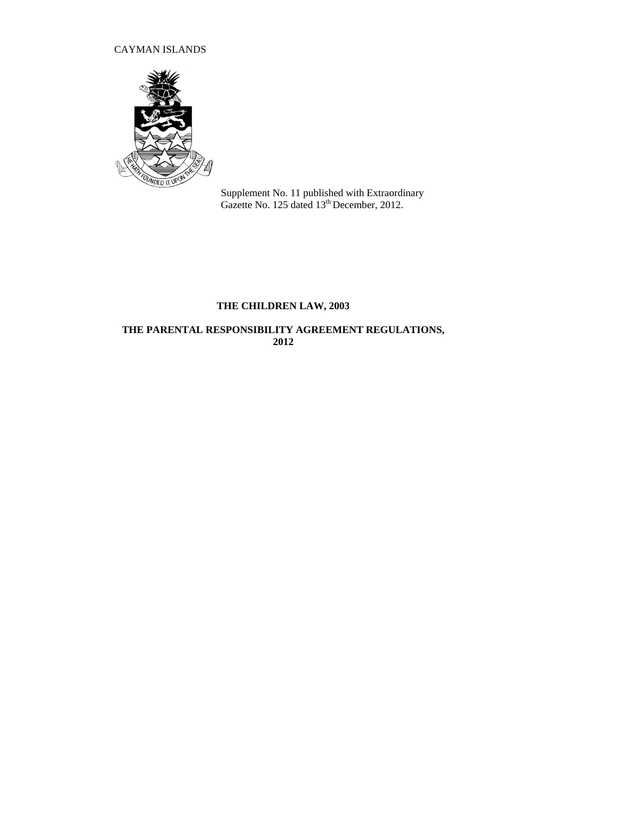# CAYMAN ISLANDS



Supplement No. 11 published with Extraordinary Gazette No. 125 dated 13<sup>th</sup> December, 2012.

# **THE CHILDREN LAW, 2003**

# **THE PARENTAL RESPONSIBILITY AGREEMENT REGULATIONS, 2012**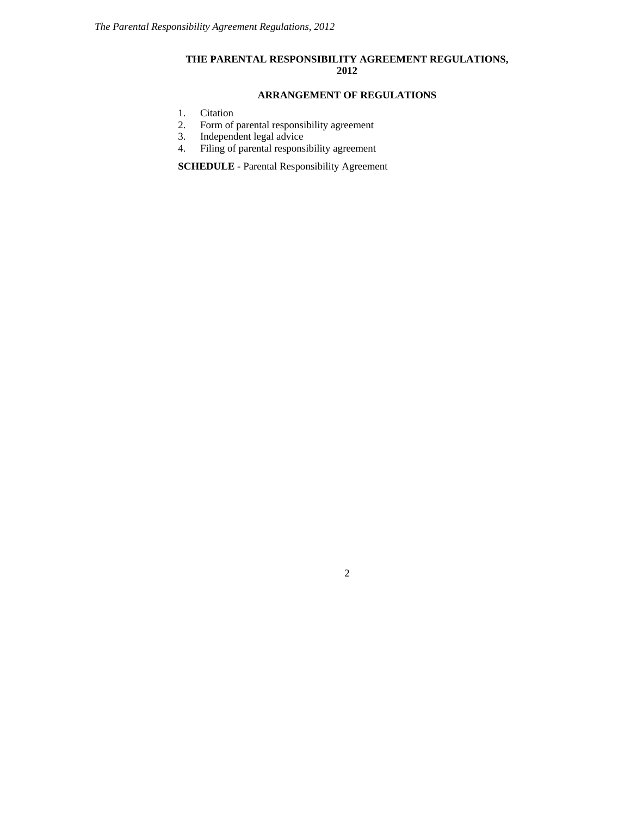# **THE PARENTAL RESPONSIBILITY AGREEMENT REGULATIONS, 2012**

## **ARRANGEMENT OF REGULATIONS**

- [1.](http://www.opsi.gov.uk/si/si1991/Uksi_19910910_en_2.htm#mdiv1) Citation<br>2. Form of
- Form of parental responsibility agreement
- 3. Independent legal advice
- 4. Filing of parental responsibility agreement

**SCHEDULE -** Parental Responsibility Agreement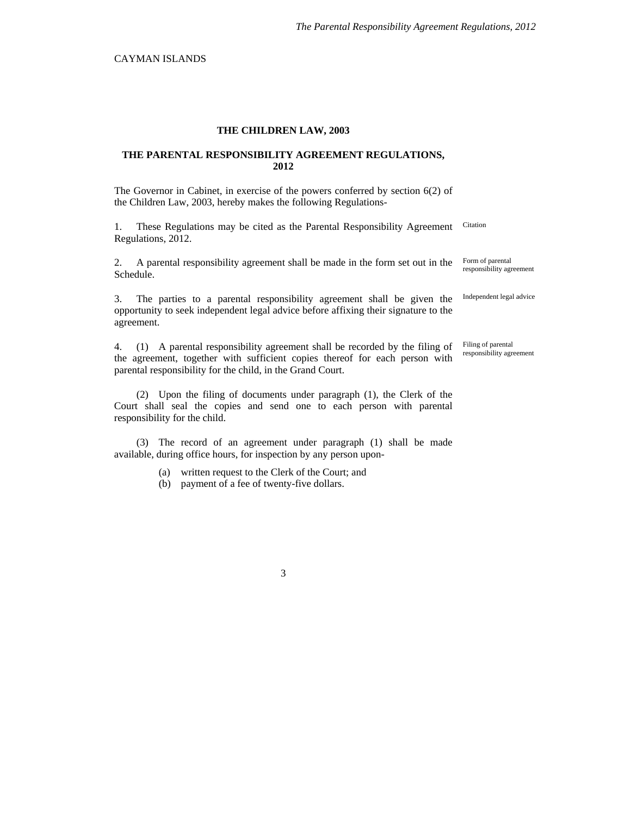## **THE CHILDREN LAW, 2003**

### **THE PARENTAL RESPONSIBILITY AGREEMENT REGULATIONS, 2012**

The Governor in Cabinet, in exercise of the powers conferred by section 6(2) of the Children Law, 2003, hereby makes the following Regulations-

1. These Regulations may be cited as the Parental Responsibility Agreement Regulations, 2012.

2. A parental responsibility agreement shall be made in the form set out in the Schedule.

3. The parties to a parental responsibility agreement shall be given the opportunity to seek independent legal advice before affixing their signature to the agreement.

4. (1) A parental responsibility agreement shall be recorded by the filing of the agreement, together with sufficient copies thereof for each person with parental responsibility for the child, in the Grand Court.

(2) Upon the filing of documents under paragraph (1), the Clerk of the Court shall seal the copies and send one to each person with parental responsibility for the child.

(3) The record of an agreement under paragraph (1) shall be made available, during office hours, for inspection by any person upon-

- (a) written request to the Clerk of the Court; and
- (b) payment of a fee of twenty-five dollars.

Citation

Form of parental responsibility agreement

Independent legal advice

Filing of parental responsibility agreement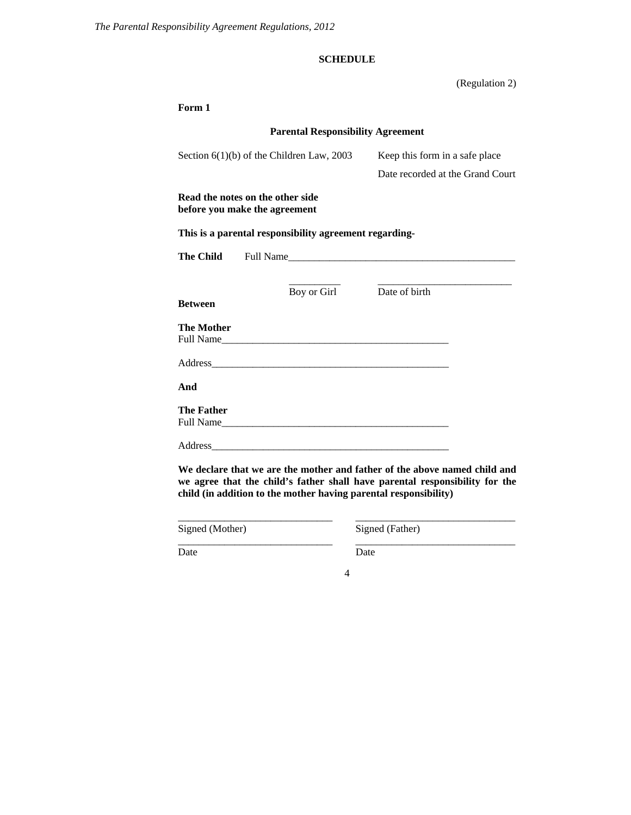# **SCHEDULE**

(Regulation 2)

| Form 1                                      |                                                                   |                                                                                                                                                          |  |  |  |
|---------------------------------------------|-------------------------------------------------------------------|----------------------------------------------------------------------------------------------------------------------------------------------------------|--|--|--|
| <b>Parental Responsibility Agreement</b>    |                                                                   |                                                                                                                                                          |  |  |  |
| Section $6(1)(b)$ of the Children Law, 2003 |                                                                   | Keep this form in a safe place                                                                                                                           |  |  |  |
|                                             |                                                                   | Date recorded at the Grand Court                                                                                                                         |  |  |  |
|                                             | Read the notes on the other side<br>before you make the agreement |                                                                                                                                                          |  |  |  |
|                                             | This is a parental responsibility agreement regarding-            |                                                                                                                                                          |  |  |  |
| <b>The Child</b>                            |                                                                   |                                                                                                                                                          |  |  |  |
|                                             |                                                                   |                                                                                                                                                          |  |  |  |
| <b>Between</b>                              | Boy or Girl                                                       | Date of birth                                                                                                                                            |  |  |  |
| <b>The Mother</b>                           | Full Name                                                         |                                                                                                                                                          |  |  |  |
|                                             |                                                                   |                                                                                                                                                          |  |  |  |
| And                                         |                                                                   |                                                                                                                                                          |  |  |  |
| <b>The Father</b>                           | Full Name                                                         |                                                                                                                                                          |  |  |  |
|                                             |                                                                   |                                                                                                                                                          |  |  |  |
|                                             | child (in addition to the mother having parental responsibility)  | We declare that we are the mother and father of the above named child and<br>we agree that the child's father shall have parental responsibility for the |  |  |  |
| Signed (Mother)                             |                                                                   | Signed (Father)                                                                                                                                          |  |  |  |

\_\_\_\_\_\_\_\_\_\_\_\_\_\_\_\_\_\_\_\_\_\_\_\_\_\_\_\_\_\_ \_\_\_\_\_\_\_\_\_\_\_\_\_\_\_\_\_\_\_\_\_\_\_\_\_\_\_\_\_\_\_

Date Date Date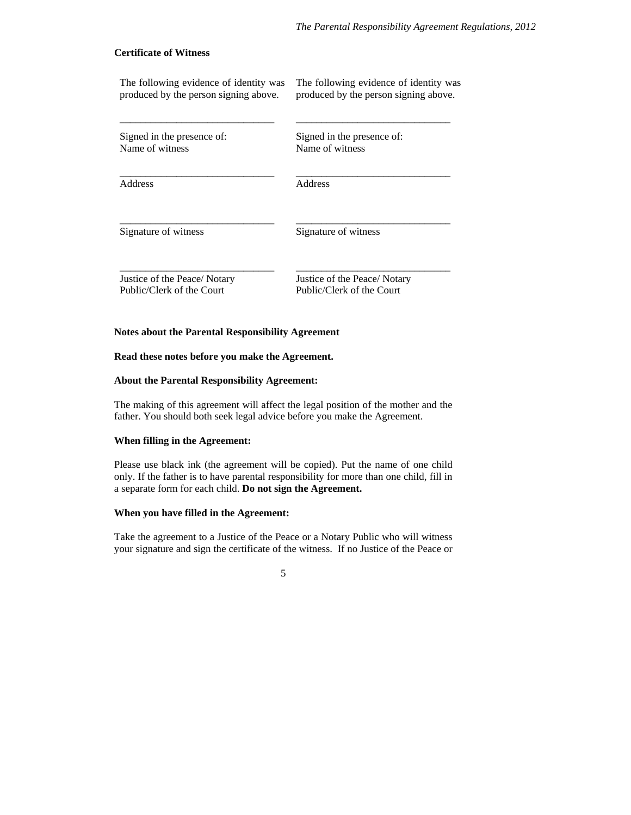## **Certificate of Witness**

The following evidence of identity was produced by the person signing above. The following evidence of identity was produced by the person signing above.

Signed in the presence of: Name of witness

\_\_\_\_\_\_\_\_\_\_\_\_\_\_\_\_\_\_\_\_\_\_\_\_\_\_\_\_\_\_

\_\_\_\_\_\_\_\_\_\_\_\_\_\_\_\_\_\_\_\_\_\_\_\_\_\_\_\_\_\_

\_\_\_\_\_\_\_\_\_\_\_\_\_\_\_\_\_\_\_\_\_\_\_\_\_\_\_\_\_\_

\_\_\_\_\_\_\_\_\_\_\_\_\_\_\_\_\_\_\_\_\_\_\_\_\_\_\_\_\_\_

Signed in the presence of: Name of witness

\_\_\_\_\_\_\_\_\_\_\_\_\_\_\_\_\_\_\_\_\_\_\_\_\_\_\_\_\_\_

\_\_\_\_\_\_\_\_\_\_\_\_\_\_\_\_\_\_\_\_\_\_\_\_\_\_\_\_\_\_

\_\_\_\_\_\_\_\_\_\_\_\_\_\_\_\_\_\_\_\_\_\_\_\_\_\_\_\_\_\_

\_\_\_\_\_\_\_\_\_\_\_\_\_\_\_\_\_\_\_\_\_\_\_\_\_\_\_\_\_\_

Address

Address

Signature of witness

Signature of witness

Justice of the Peace/ Notary Public/Clerk of the Court

Justice of the Peace/ Notary Public/Clerk of the Court

#### **Notes about the Parental Responsibility Agreement**

## **Read these notes before you make the Agreement.**

#### **About the Parental Responsibility Agreement:**

The making of this agreement will affect the legal position of the mother and the father. You should both seek legal advice before you make the Agreement.

## **When filling in the Agreement:**

Please use black ink (the agreement will be copied). Put the name of one child only. If the father is to have parental responsibility for more than one child, fill in a separate form for each child. **Do not sign the Agreement.** 

#### **When you have filled in the Agreement:**

Take the agreement to a Justice of the Peace or a Notary Public who will witness your signature and sign the certificate of the witness. If no Justice of the Peace or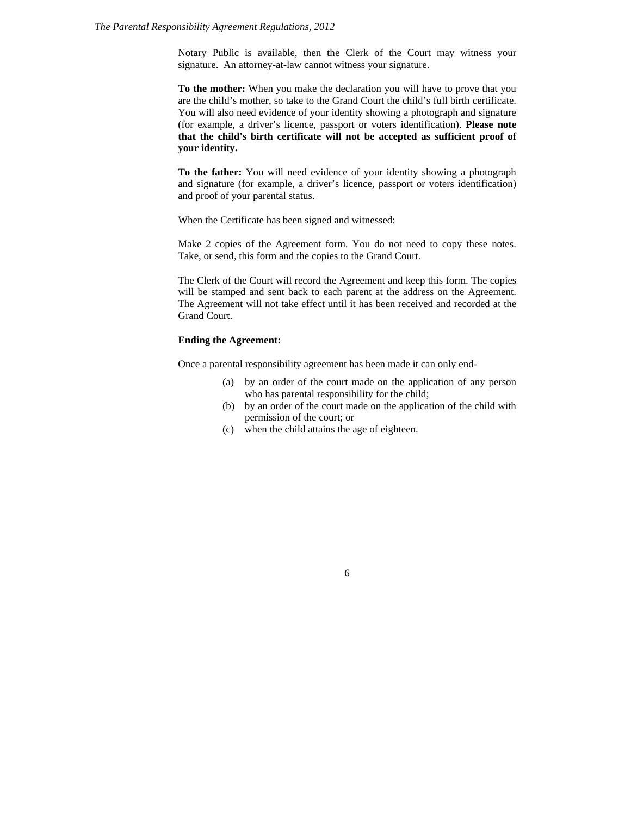#### *The Parental Responsibility Agreement Regulations, 2012*

Notary Public is available, then the Clerk of the Court may witness your signature. An attorney-at-law cannot witness your signature.

**To the mother:** When you make the declaration you will have to prove that you are the child's mother, so take to the Grand Court the child's full birth certificate. You will also need evidence of your identity showing a photograph and signature (for example, a driver's licence, passport or voters identification). **Please note that the child's birth certificate will not be accepted as sufficient proof of your identity.** 

**To the father:** You will need evidence of your identity showing a photograph and signature (for example, a driver's licence, passport or voters identification) and proof of your parental status.

When the Certificate has been signed and witnessed:

Make 2 copies of the Agreement form. You do not need to copy these notes. Take, or send, this form and the copies to the Grand Court.

The Clerk of the Court will record the Agreement and keep this form. The copies will be stamped and sent back to each parent at the address on the Agreement. The Agreement will not take effect until it has been received and recorded at the Grand Court.

## **Ending the Agreement:**

Once a parental responsibility agreement has been made it can only end-

- (a) by an order of the court made on the application of any person who has parental responsibility for the child;
- (b) by an order of the court made on the application of the child with permission of the court; or
- (c) when the child attains the age of eighteen.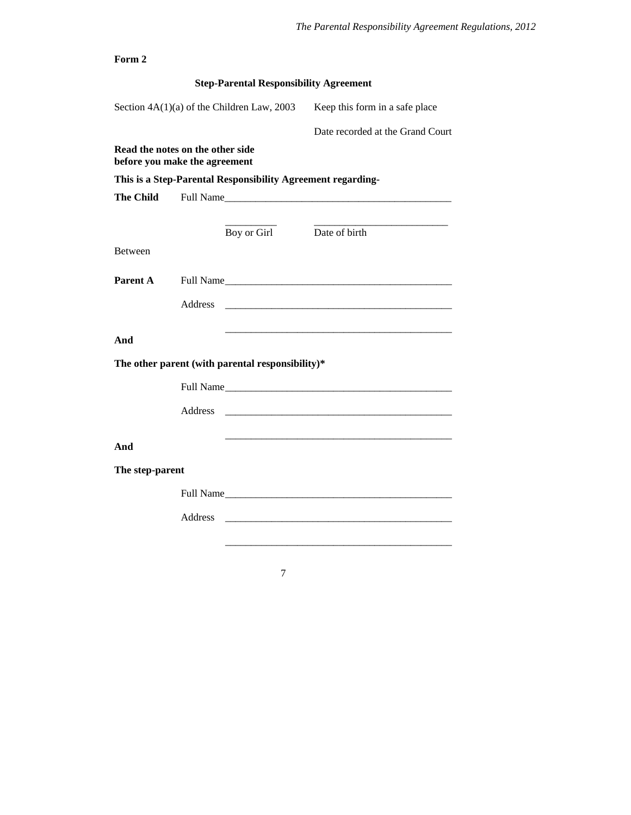| Form 2                                                            |                                                                                                                                                                                                                               |             |                                  |  |  |  |
|-------------------------------------------------------------------|-------------------------------------------------------------------------------------------------------------------------------------------------------------------------------------------------------------------------------|-------------|----------------------------------|--|--|--|
| <b>Step-Parental Responsibility Agreement</b>                     |                                                                                                                                                                                                                               |             |                                  |  |  |  |
| Section $4A(1)(a)$ of the Children Law, 2003                      |                                                                                                                                                                                                                               |             | Keep this form in a safe place   |  |  |  |
|                                                                   |                                                                                                                                                                                                                               |             | Date recorded at the Grand Court |  |  |  |
| Read the notes on the other side<br>before you make the agreement |                                                                                                                                                                                                                               |             |                                  |  |  |  |
| This is a Step-Parental Responsibility Agreement regarding-       |                                                                                                                                                                                                                               |             |                                  |  |  |  |
| <b>The Child</b>                                                  | Full Name and the state of the state of the state of the state of the state of the state of the state of the state of the state of the state of the state of the state of the state of the state of the state of the state of |             |                                  |  |  |  |
|                                                                   |                                                                                                                                                                                                                               | Boy or Girl | Date of birth                    |  |  |  |
| <b>Between</b>                                                    |                                                                                                                                                                                                                               |             |                                  |  |  |  |
| Parent A                                                          |                                                                                                                                                                                                                               |             | Full Name                        |  |  |  |
|                                                                   | Address                                                                                                                                                                                                                       |             |                                  |  |  |  |
| And                                                               |                                                                                                                                                                                                                               |             |                                  |  |  |  |
| The other parent (with parental responsibility)*                  |                                                                                                                                                                                                                               |             |                                  |  |  |  |
|                                                                   |                                                                                                                                                                                                                               |             | Full Name                        |  |  |  |
|                                                                   | Address                                                                                                                                                                                                                       |             |                                  |  |  |  |
| And                                                               |                                                                                                                                                                                                                               |             |                                  |  |  |  |
| The step-parent                                                   |                                                                                                                                                                                                                               |             |                                  |  |  |  |
|                                                                   |                                                                                                                                                                                                                               |             | Full Name                        |  |  |  |
|                                                                   | <b>Address</b>                                                                                                                                                                                                                |             |                                  |  |  |  |
|                                                                   |                                                                                                                                                                                                                               |             |                                  |  |  |  |
|                                                                   |                                                                                                                                                                                                                               |             |                                  |  |  |  |
|                                                                   |                                                                                                                                                                                                                               | 7           |                                  |  |  |  |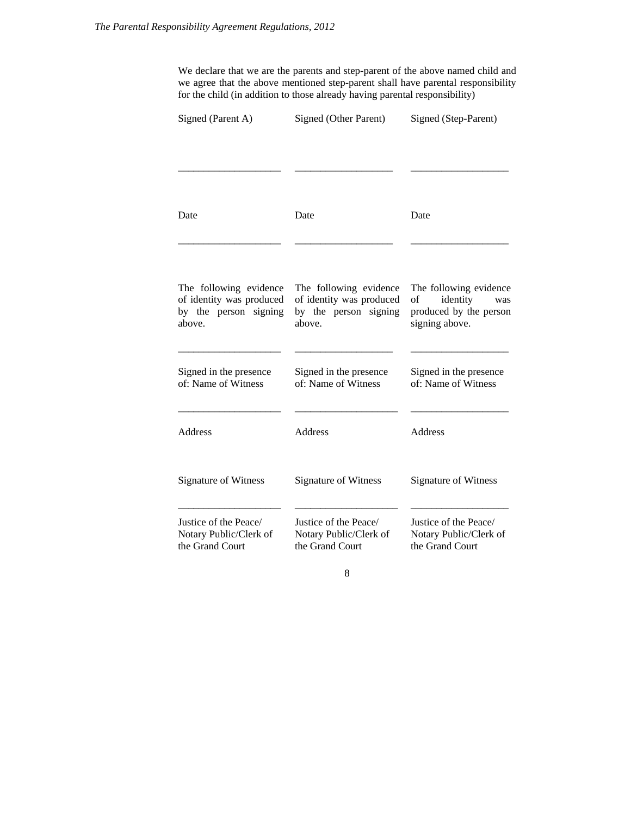We declare that we are the parents and step-parent of the above named child and we agree that the above mentioned step-parent shall have parental responsibility for the child (in addition to those already having parental responsibility)

| Signed (Parent A)                                                                     | Signed (Other Parent)                                                                 | Signed (Step-Parent)                                                                        |  |
|---------------------------------------------------------------------------------------|---------------------------------------------------------------------------------------|---------------------------------------------------------------------------------------------|--|
|                                                                                       |                                                                                       |                                                                                             |  |
| Date                                                                                  | Date                                                                                  | Date                                                                                        |  |
| The following evidence<br>of identity was produced<br>by the person signing<br>above. | The following evidence<br>of identity was produced<br>by the person signing<br>above. | The following evidence<br>of<br>identity<br>was<br>produced by the person<br>signing above. |  |
| Signed in the presence<br>of: Name of Witness                                         | Signed in the presence<br>of: Name of Witness                                         | Signed in the presence<br>of: Name of Witness                                               |  |
| <b>Address</b>                                                                        | Address                                                                               | <b>Address</b>                                                                              |  |
| <b>Signature of Witness</b>                                                           | Signature of Witness                                                                  | <b>Signature of Witness</b>                                                                 |  |
| Justice of the Peace/<br>Notary Public/Clerk of<br>the Grand Court                    | Justice of the Peace/<br>Notary Public/Clerk of<br>the Grand Court                    | Justice of the Peace/<br>Notary Public/Clerk of<br>the Grand Court                          |  |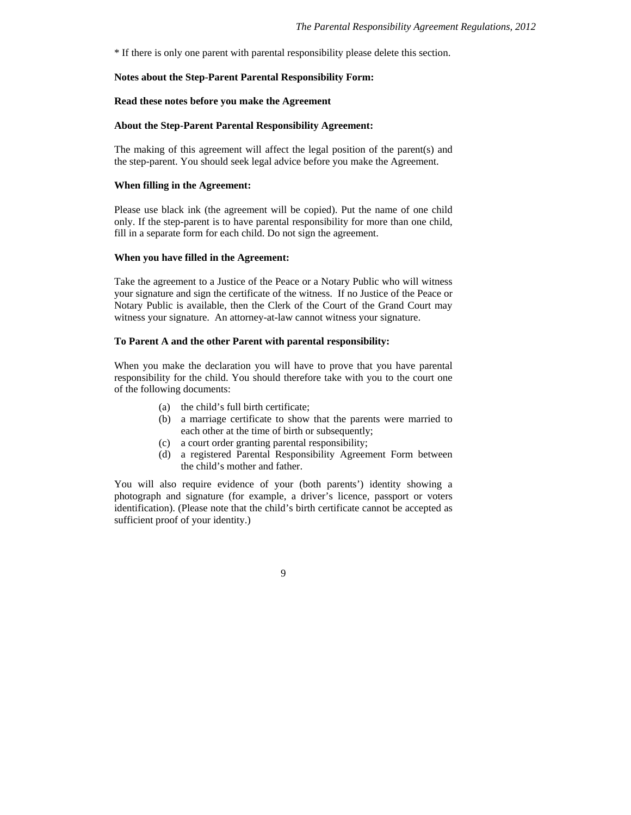\* If there is only one parent with parental responsibility please delete this section.

#### **Notes about the Step-Parent Parental Responsibility Form:**

#### **Read these notes before you make the Agreement**

#### **About the Step-Parent Parental Responsibility Agreement:**

The making of this agreement will affect the legal position of the parent(s) and the step-parent. You should seek legal advice before you make the Agreement.

## **When filling in the Agreement:**

Please use black ink (the agreement will be copied). Put the name of one child only. If the step-parent is to have parental responsibility for more than one child, fill in a separate form for each child. Do not sign the agreement.

#### **When you have filled in the Agreement:**

Take the agreement to a Justice of the Peace or a Notary Public who will witness your signature and sign the certificate of the witness. If no Justice of the Peace or Notary Public is available, then the Clerk of the Court of the Grand Court may witness your signature. An attorney-at-law cannot witness your signature.

#### **To Parent A and the other Parent with parental responsibility:**

When you make the declaration you will have to prove that you have parental responsibility for the child. You should therefore take with you to the court one of the following documents:

- (a) the child's full birth certificate;
- (b) a marriage certificate to show that the parents were married to each other at the time of birth or subsequently;
- (c) a court order granting parental responsibility;
- (d) a registered Parental Responsibility Agreement Form between the child's mother and father.

You will also require evidence of your (both parents') identity showing a photograph and signature (for example, a driver's licence, passport or voters identification). (Please note that the child's birth certificate cannot be accepted as sufficient proof of your identity.)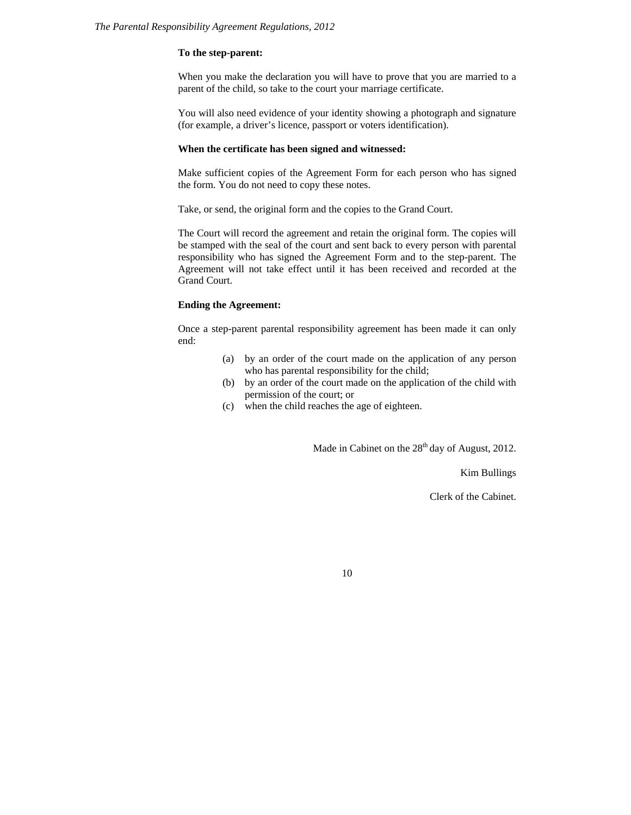#### **To the step-parent:**

When you make the declaration you will have to prove that you are married to a parent of the child, so take to the court your marriage certificate.

You will also need evidence of your identity showing a photograph and signature (for example, a driver's licence, passport or voters identification).

#### **When the certificate has been signed and witnessed:**

Make sufficient copies of the Agreement Form for each person who has signed the form. You do not need to copy these notes.

Take, or send, the original form and the copies to the Grand Court.

The Court will record the agreement and retain the original form. The copies will be stamped with the seal of the court and sent back to every person with parental responsibility who has signed the Agreement Form and to the step-parent. The Agreement will not take effect until it has been received and recorded at the Grand Court.

## **Ending the Agreement:**

Once a step-parent parental responsibility agreement has been made it can only end:

- (a) by an order of the court made on the application of any person who has parental responsibility for the child;
- (b) by an order of the court made on the application of the child with permission of the court; or
- (c) when the child reaches the age of eighteen.

Made in Cabinet on the  $28<sup>th</sup>$  day of August, 2012.

Kim Bullings

Clerk of the Cabinet.